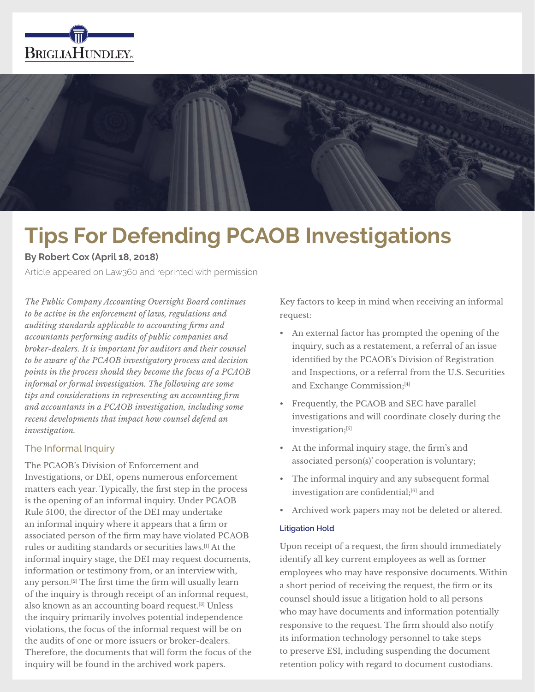



# **Tips For Defending PCAOB Investigations**

## **By Robert Cox (April 18, 2018)**

Article appeared on Law360 and reprinted with permission

*The Public Company Accounting Oversight Board continues to be active in the enforcement of laws, regulations and auditing standards applicable to accounting firms and accountants performing audits of public companies and broker-dealers. It is important for auditors and their counsel to be aware of the PCAOB investigatory process and decision points in the process should they become the focus of a PCAOB informal or formal investigation. The following are some tips and considerations in representing an accounting firm and accountants in a PCAOB investigation, including some recent developments that impact how counsel defend an investigation.*

## The Informal Inquiry

The PCAOB's Division of Enforcement and Investigations, or DEI, opens numerous enforcement matters each year. Typically, the first step in the process is the opening of an informal inquiry. Under PCAOB Rule 5100, the director of the DEI may undertake an informal inquiry where it appears that a firm or associated person of the firm may have violated PCAOB rules or auditing standards or securities laws.[1] At the informal inquiry stage, the DEI may request documents, information or testimony from, or an interview with, any person.[2] The first time the firm will usually learn of the inquiry is through receipt of an informal request, also known as an accounting board request.[3] Unless the inquiry primarily involves potential independence violations, the focus of the informal request will be on the audits of one or more issuers or broker-dealers. Therefore, the documents that will form the focus of the inquiry will be found in the archived work papers.

Key factors to keep in mind when receiving an informal request:

- An external factor has prompted the opening of the inquiry, such as a restatement, a referral of an issue identified by the PCAOB's Division of Registration and Inspections, or a referral from the U.S. Securities and Exchange Commission;[4]
- Frequently, the PCAOB and SEC have parallel investigations and will coordinate closely during the investigation;[5]
- At the informal inquiry stage, the firm's and associated person(s)' cooperation is voluntary;
- The informal inquiry and any subsequent formal investigation are confidential;<sup>[6]</sup> and
- Archived work papers may not be deleted or altered.

### **Litigation Hold**

Upon receipt of a request, the firm should immediately identify all key current employees as well as former employees who may have responsive documents. Within a short period of receiving the request, the firm or its counsel should issue a litigation hold to all persons who may have documents and information potentially responsive to the request. The firm should also notify its information technology personnel to take steps to preserve ESI, including suspending the document retention policy with regard to document custodians.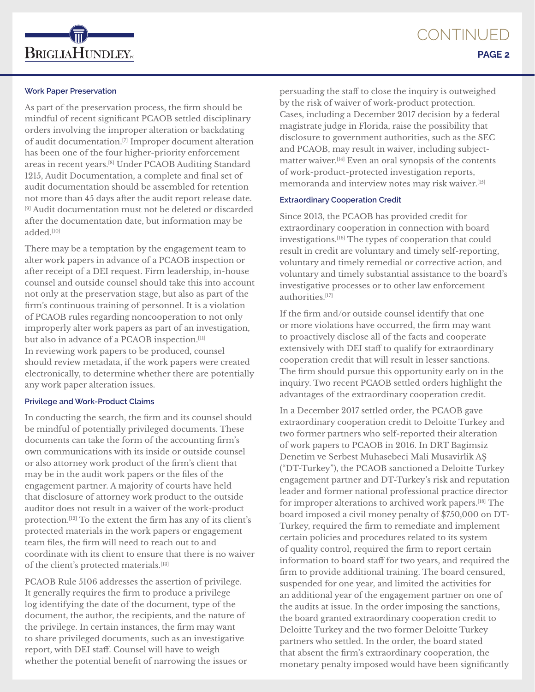

#### **Work Paper Preservation**

As part of the preservation process, the firm should be mindful of recent significant PCAOB settled disciplinary orders involving the improper alteration or backdating of audit documentation.[7] Improper document alteration has been one of the four higher-priority enforcement areas in recent years.[8] Under PCAOB Auditing Standard 1215, Audit Documentation, a complete and final set of audit documentation should be assembled for retention not more than 45 days after the audit report release date. [9] Audit documentation must not be deleted or discarded after the documentation date, but information may be added.[10]

There may be a temptation by the engagement team to alter work papers in advance of a PCAOB inspection or after receipt of a DEI request. Firm leadership, in-house counsel and outside counsel should take this into account not only at the preservation stage, but also as part of the firm's continuous training of personnel. It is a violation of PCAOB rules regarding noncooperation to not only improperly alter work papers as part of an investigation, but also in advance of a PCAOB inspection.<sup>[11]</sup> In reviewing work papers to be produced, counsel should review metadata, if the work papers were created electronically, to determine whether there are potentially any work paper alteration issues.

#### **Privilege and Work-Product Claims**

In conducting the search, the firm and its counsel should be mindful of potentially privileged documents. These documents can take the form of the accounting firm's own communications with its inside or outside counsel or also attorney work product of the firm's client that may be in the audit work papers or the files of the engagement partner. A majority of courts have held that disclosure of attorney work product to the outside auditor does not result in a waiver of the work-product protection.[12] To the extent the firm has any of its client's protected materials in the work papers or engagement team files, the firm will need to reach out to and coordinate with its client to ensure that there is no waiver of the client's protected materials.<sup>[13]</sup>

PCAOB Rule 5106 addresses the assertion of privilege. It generally requires the firm to produce a privilege log identifying the date of the document, type of the document, the author, the recipients, and the nature of the privilege. In certain instances, the firm may want to share privileged documents, such as an investigative report, with DEI staff. Counsel will have to weigh whether the potential benefit of narrowing the issues or

persuading the staff to close the inquiry is outweighed by the risk of waiver of work-product protection. Cases, including a December 2017 decision by a federal magistrate judge in Florida, raise the possibility that disclosure to government authorities, such as the SEC and PCAOB, may result in waiver, including subjectmatter waiver.[14] Even an oral synopsis of the contents of work-product-protected investigation reports, memoranda and interview notes may risk waiver.[15]

#### **Extraordinary Cooperation Credit**

Since 2013, the PCAOB has provided credit for extraordinary cooperation in connection with board investigations.[16] The types of cooperation that could result in credit are voluntary and timely self-reporting, voluntary and timely remedial or corrective action, and voluntary and timely substantial assistance to the board's investigative processes or to other law enforcement authorities.[17]

If the firm and/or outside counsel identify that one or more violations have occurred, the firm may want to proactively disclose all of the facts and cooperate extensively with DEI staff to qualify for extraordinary cooperation credit that will result in lesser sanctions. The firm should pursue this opportunity early on in the inquiry. Two recent PCAOB settled orders highlight the advantages of the extraordinary cooperation credit.

In a December 2017 settled order, the PCAOB gave extraordinary cooperation credit to Deloitte Turkey and two former partners who self-reported their alteration of work papers to PCAOB in 2016. In DRT Bagimsiz Denetim ve Serbest Muhasebeci Mali Musavirlik AŞ ("DT-Turkey"), the PCAOB sanctioned a Deloitte Turkey engagement partner and DT-Turkey's risk and reputation leader and former national professional practice director for improper alterations to archived work papers.[18] The board imposed a civil money penalty of \$750,000 on DT-Turkey, required the firm to remediate and implement certain policies and procedures related to its system of quality control, required the firm to report certain information to board staff for two years, and required the firm to provide additional training. The board censured, suspended for one year, and limited the activities for an additional year of the engagement partner on one of the audits at issue. In the order imposing the sanctions, the board granted extraordinary cooperation credit to Deloitte Turkey and the two former Deloitte Turkey partners who settled. In the order, the board stated that absent the firm's extraordinary cooperation, the monetary penalty imposed would have been significantly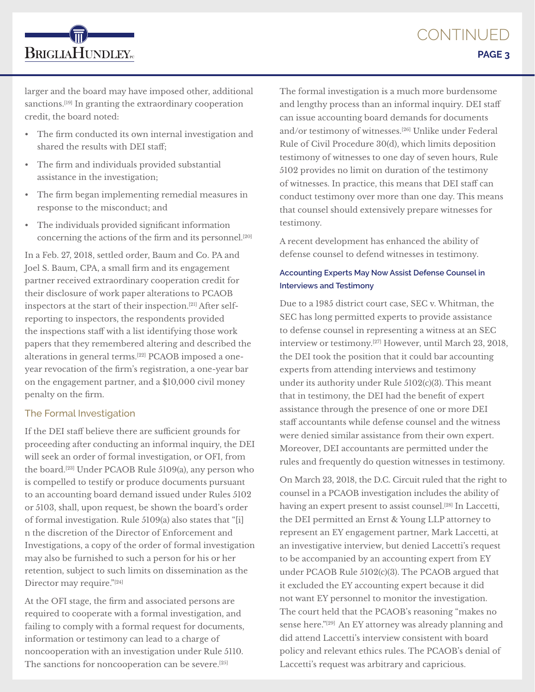larger and the board may have imposed other, additional sanctions.<sup>[19]</sup> In granting the extraordinary cooperation credit, the board noted:

- The firm conducted its own internal investigation and shared the results with DEI staff;
- The firm and individuals provided substantial assistance in the investigation;

**BRIGLIAHUNDLEY**<sub>rc</sub>

- The firm began implementing remedial measures in response to the misconduct; and
- The individuals provided significant information concerning the actions of the firm and its personnel.[20]

In a Feb. 27, 2018, settled order, Baum and Co. PA and Joel S. Baum, CPA, a small firm and its engagement partner received extraordinary cooperation credit for their disclosure of work paper alterations to PCAOB inspectors at the start of their inspection.[21] After selfreporting to inspectors, the respondents provided the inspections staff with a list identifying those work papers that they remembered altering and described the alterations in general terms.[22] PCAOB imposed a oneyear revocation of the firm's registration, a one-year bar on the engagement partner, and a \$10,000 civil money penalty on the firm.

## The Formal Investigation

If the DEI staff believe there are sufficient grounds for proceeding after conducting an informal inquiry, the DEI will seek an order of formal investigation, or OFI, from the board.[23] Under PCAOB Rule 5109(a), any person who is compelled to testify or produce documents pursuant to an accounting board demand issued under Rules 5102 or 5103, shall, upon request, be shown the board's order of formal investigation. Rule 5109(a) also states that "[i] n the discretion of the Director of Enforcement and Investigations, a copy of the order of formal investigation may also be furnished to such a person for his or her retention, subject to such limits on dissemination as the Director may require."[24]

At the OFI stage, the firm and associated persons are required to cooperate with a formal investigation, and failing to comply with a formal request for documents, information or testimony can lead to a charge of noncooperation with an investigation under Rule 5110. The sanctions for noncooperation can be severe.[25]

The formal investigation is a much more burdensome and lengthy process than an informal inquiry. DEI staff can issue accounting board demands for documents and/or testimony of witnesses.[26] Unlike under Federal Rule of Civil Procedure 30(d), which limits deposition testimony of witnesses to one day of seven hours, Rule 5102 provides no limit on duration of the testimony of witnesses. In practice, this means that DEI staff can conduct testimony over more than one day. This means that counsel should extensively prepare witnesses for testimony.

A recent development has enhanced the ability of defense counsel to defend witnesses in testimony.

## **Accounting Experts May Now Assist Defense Counsel in Interviews and Testimony**

Due to a 1985 district court case, SEC v. Whitman, the SEC has long permitted experts to provide assistance to defense counsel in representing a witness at an SEC interview or testimony.[27] However, until March 23, 2018, the DEI took the position that it could bar accounting experts from attending interviews and testimony under its authority under Rule 5102(c)(3). This meant that in testimony, the DEI had the benefit of expert assistance through the presence of one or more DEI staff accountants while defense counsel and the witness were denied similar assistance from their own expert. Moreover, DEI accountants are permitted under the rules and frequently do question witnesses in testimony.

On March 23, 2018, the D.C. Circuit ruled that the right to counsel in a PCAOB investigation includes the ability of having an expert present to assist counsel.<sup>[28]</sup> In Laccetti, the DEI permitted an Ernst & Young LLP attorney to represent an EY engagement partner, Mark Laccetti, at an investigative interview, but denied Laccetti's request to be accompanied by an accounting expert from EY under PCAOB Rule 5102(c)(3). The PCAOB argued that it excluded the EY accounting expert because it did not want EY personnel to monitor the investigation. The court held that the PCAOB's reasoning "makes no sense here."[29] An EY attorney was already planning and did attend Laccetti's interview consistent with board policy and relevant ethics rules. The PCAOB's denial of Laccetti's request was arbitrary and capricious.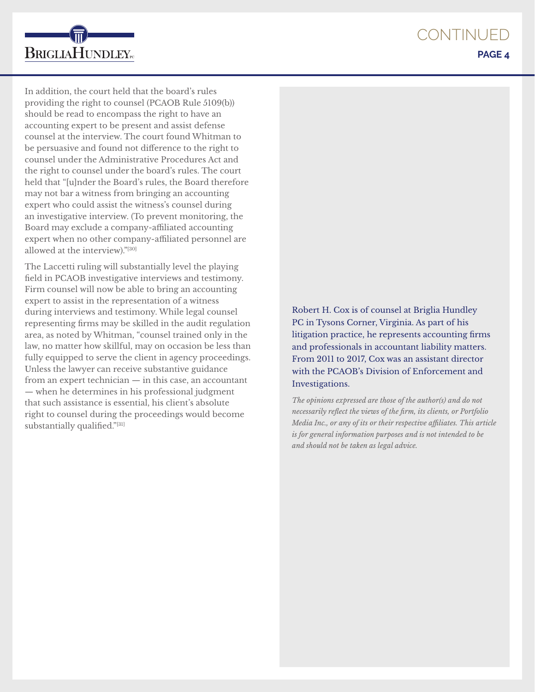**CONTINUED PAGE 4**



In addition, the court held that the board's rules providing the right to counsel (PCAOB Rule 5109(b)) should be read to encompass the right to have an accounting expert to be present and assist defense counsel at the interview. The court found Whitman to be persuasive and found not difference to the right to counsel under the Administrative Procedures Act and the right to counsel under the board's rules. The court held that "[u]nder the Board's rules, the Board therefore may not bar a witness from bringing an accounting expert who could assist the witness's counsel during an investigative interview. (To prevent monitoring, the Board may exclude a company-affiliated accounting expert when no other company-affiliated personnel are allowed at the interview)."[30]

The Laccetti ruling will substantially level the playing field in PCAOB investigative interviews and testimony. Firm counsel will now be able to bring an accounting expert to assist in the representation of a witness during interviews and testimony. While legal counsel representing firms may be skilled in the audit regulation area, as noted by Whitman, "counsel trained only in the law, no matter how skillful, may on occasion be less than fully equipped to serve the client in agency proceedings. Unless the lawyer can receive substantive guidance from an expert technician — in this case, an accountant — when he determines in his professional judgment that such assistance is essential, his client's absolute right to counsel during the proceedings would become substantially qualified."[31]

Robert H. Cox is of counsel at Briglia Hundley PC in Tysons Corner, Virginia. As part of his litigation practice, he represents accounting firms and professionals in accountant liability matters. From 2011 to 2017, Cox was an assistant director with the PCAOB's Division of Enforcement and Investigations.

*The opinions expressed are those of the author(s) and do not necessarily reflect the views of the firm, its clients, or Portfolio Media Inc., or any of its or their respective affiliates. This article is for general information purposes and is not intended to be and should not be taken as legal advice.*